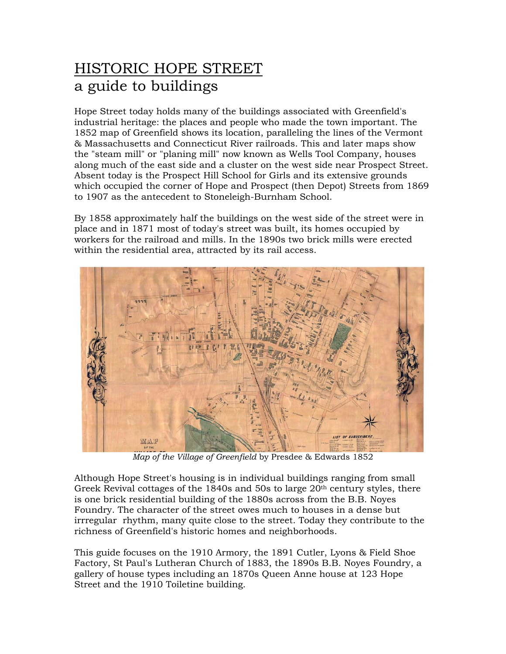## HISTORIC HOPE STREET a guide to buildings

Hope Street today holds many of the buildings associated with Greenfield's industrial heritage: the places and people who made the town important. The 1852 map of Greenfield shows its location, paralleling the lines of the Vermont & Massachusetts and Connecticut River railroads. This and later maps show the "steam mill" or "planing mill" now known as Wells Tool Company, houses along much of the east side and a cluster on the west side near Prospect Street. Absent today is the Prospect Hill School for Girls and its extensive grounds which occupied the corner of Hope and Prospect (then Depot) Streets from 1869 to 1907 as the antecedent to Stoneleigh-Burnham School.

By 1858 approximately half the buildings on the west side of the street were in place and in 1871 most of today's street was built, its homes occupied by workers for the railroad and mills. In the 1890s two brick mills were erected within the residential area, attracted by its rail access.



*Map of the Village of Greenfield* by Presdee & Edwards 1852

Although Hope Street's housing is in individual buildings ranging from small Greek Revival cottages of the 1840s and 50s to large  $20<sup>th</sup>$  century styles, there is one brick residential building of the 1880s across from the B.B. Noyes Foundry. The character of the street owes much to houses in a dense but irrregular rhythm, many quite close to the street. Today they contribute to the richness of Greenfield's historic homes and neighborhoods.

This guide focuses on the 1910 Armory, the 1891 Cutler, Lyons & Field Shoe Factory, St Paul's Lutheran Church of 1883, the 1890s B.B. Noyes Foundry, a gallery of house types including an 1870s Queen Anne house at 123 Hope Street and the 1910 Toiletine building.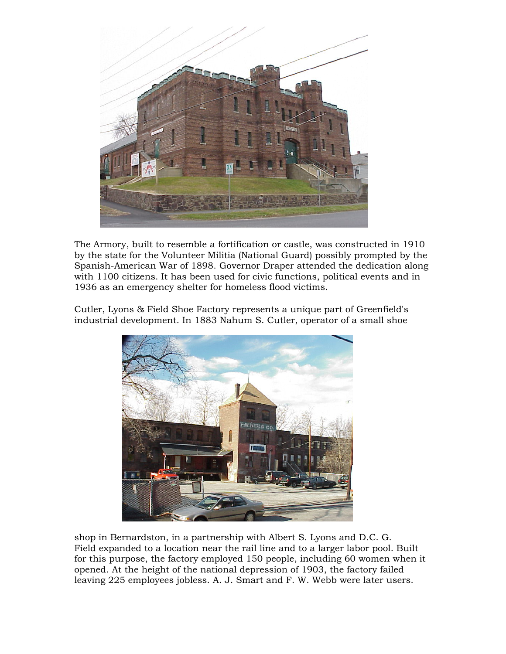

The Armory, built to resemble a fortification or castle, was constructed in 1910 by the state for the Volunteer Militia (National Guard) possibly prompted by the Spanish-American War of 1898. Governor Draper attended the dedication along with 1100 citizens. It has been used for civic functions, political events and in 1936 as an emergency shelter for homeless flood victims.

Cutler, Lyons & Field Shoe Factory represents a unique part of Greenfield's industrial development. In 1883 Nahum S. Cutler, operator of a small shoe



shop in Bernardston, in a partnership with Albert S. Lyons and D.C. G. Field expanded to a location near the rail line and to a larger labor pool. Built for this purpose, the factory employed 150 people, including 60 women when it opened. At the height of the national depression of 1903, the factory failed leaving 225 employees jobless. A. J. Smart and F. W. Webb were later users.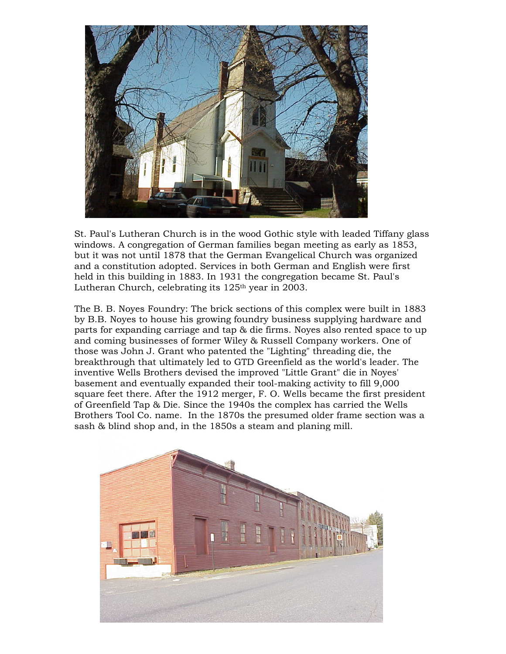

St. Paul's Lutheran Church is in the wood Gothic style with leaded Tiffany glass windows. A congregation of German families began meeting as early as 1853, but it was not until 1878 that the German Evangelical Church was organized and a constitution adopted. Services in both German and English were first held in this building in 1883. In 1931 the congregation became St. Paul's Lutheran Church, celebrating its  $125<sup>th</sup>$  year in 2003.

The B. B. Noyes Foundry: The brick sections of this complex were built in 1883 by B.B. Noyes to house his growing foundry business supplying hardware and parts for expanding carriage and tap & die firms. Noyes also rented space to up and coming businesses of former Wiley & Russell Company workers. One of those was John J. Grant who patented the "Lighting" threading die, the breakthrough that ultimately led to GTD Greenfield as the world's leader. The inventive Wells Brothers devised the improved "Little Grant" die in Noyes' basement and eventually expanded their tool-making activity to fill 9,000 square feet there. After the 1912 merger, F. O. Wells became the first president of Greenfield Tap & Die. Since the 1940s the complex has carried the Wells Brothers Tool Co. name. In the 1870s the presumed older frame section was a sash & blind shop and, in the 1850s a steam and planing mill.

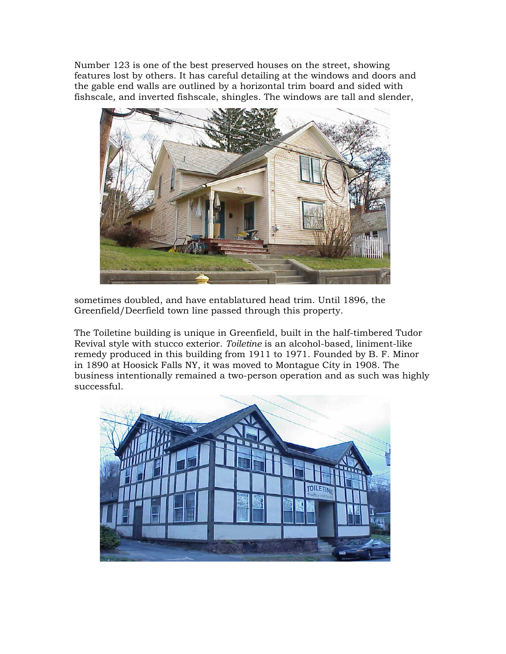Number 123 is one of the best preserved houses on the street, showing features lost by others. It has careful detailing at the windows and doors and the gable end walls are outlined by a horizontal trim board and sided with fishscale, and inverted fishscale, shingles. The windows are tall and slender,



sometimes doubled, and have entablatured head trim. Until 1896, the Greenfield/Deerfield town line passed through this property.

The Toiletine building is unique in Greenfield, built in the half-timbered Tudor Revival style with stucco exterior. *Toiletine* is an alcohol-based, liniment-like remedy produced in this building from 1911 to 1971. Founded by B. F. Minor in 1890 at Hoosick Falls NY, it was moved to Montague City in 1908. The business intentionally remained a two-person operation and as such was highly successful.